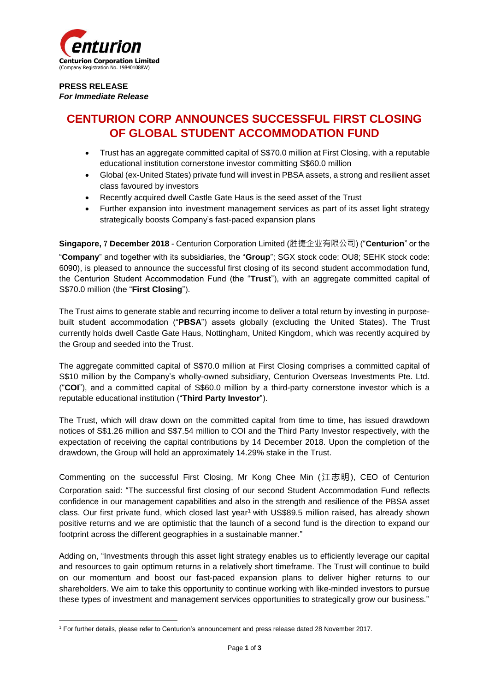

### **PRESS RELEASE** *For Immediate Release*

# **CENTURION CORP ANNOUNCES SUCCESSFUL FIRST CLOSING OF GLOBAL STUDENT ACCOMMODATION FUND**

- Trust has an aggregate committed capital of S\$70.0 million at First Closing, with a reputable educational institution cornerstone investor committing S\$60.0 million
- Global (ex-United States) private fund will invest in PBSA assets, a strong and resilient asset class favoured by investors
- Recently acquired dwell Castle Gate Haus is the seed asset of the Trust
- Further expansion into investment management services as part of its asset light strategy strategically boosts Company's fast-paced expansion plans

**Singapore,** 7 **December 2018** - Centurion Corporation Limited (胜捷企业有限公司) ("**Centurion**" or the "**Company**" and together with its subsidiaries, the "**Group**"; SGX stock code: OU8; SEHK stock code: 6090), is pleased to announce the successful first closing of its second student accommodation fund, the Centurion Student Accommodation Fund (the "**Trust**"), with an aggregate committed capital of S\$70.0 million (the "**First Closing**").

The Trust aims to generate stable and recurring income to deliver a total return by investing in purposebuilt student accommodation ("**PBSA**") assets globally (excluding the United States). The Trust currently holds dwell Castle Gate Haus, Nottingham, United Kingdom, which was recently acquired by the Group and seeded into the Trust.

The aggregate committed capital of S\$70.0 million at First Closing comprises a committed capital of S\$10 million by the Company's wholly-owned subsidiary, Centurion Overseas Investments Pte. Ltd. ("**COI**"), and a committed capital of S\$60.0 million by a third-party cornerstone investor which is a reputable educational institution ("**Third Party Investor**").

The Trust, which will draw down on the committed capital from time to time, has issued drawdown notices of S\$1.26 million and S\$7.54 million to COI and the Third Party Investor respectively, with the expectation of receiving the capital contributions by 14 December 2018. Upon the completion of the drawdown, the Group will hold an approximately 14.29% stake in the Trust.

Commenting on the successful First Closing, Mr Kong Chee Min (江志明), CEO of Centurion Corporation said: "The successful first closing of our second Student Accommodation Fund reflects confidence in our management capabilities and also in the strength and resilience of the PBSA asset class. Our first private fund, which closed last year<sup>1</sup> with US\$89.5 million raised, has already shown positive returns and we are optimistic that the launch of a second fund is the direction to expand our footprint across the different geographies in a sustainable manner."

Adding on, "Investments through this asset light strategy enables us to efficiently leverage our capital and resources to gain optimum returns in a relatively short timeframe. The Trust will continue to build on our momentum and boost our fast-paced expansion plans to deliver higher returns to our shareholders. We aim to take this opportunity to continue working with like-minded investors to pursue these types of investment and management services opportunities to strategically grow our business."

**<sup>.</sup>** <sup>1</sup> For further details, please refer to Centurion's announcement and press release dated 28 November 2017.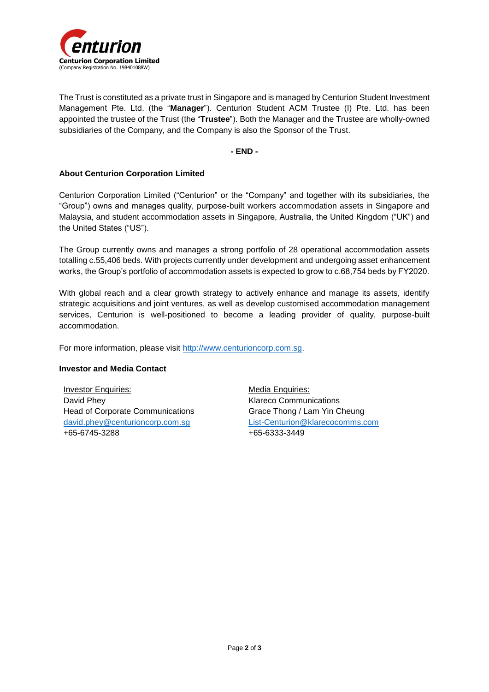

The Trust is constituted as a private trust in Singapore and is managed by Centurion Student Investment Management Pte. Ltd. (the "**Manager**"). Centurion Student ACM Trustee (I) Pte. Ltd. has been appointed the trustee of the Trust (the "**Trustee**"). Both the Manager and the Trustee are wholly-owned subsidiaries of the Company, and the Company is also the Sponsor of the Trust.

**- END -**

## **About Centurion Corporation Limited**

Centurion Corporation Limited ("Centurion" or the "Company" and together with its subsidiaries, the "Group") owns and manages quality, purpose-built workers accommodation assets in Singapore and Malaysia, and student accommodation assets in Singapore, Australia, the United Kingdom ("UK") and the United States ("US").

The Group currently owns and manages a strong portfolio of 28 operational accommodation assets totalling c.55,406 beds. With projects currently under development and undergoing asset enhancement works, the Group's portfolio of accommodation assets is expected to grow to c.68,754 beds by FY2020.

With global reach and a clear growth strategy to actively enhance and manage its assets, identify strategic acquisitions and joint ventures, as well as develop customised accommodation management services, Centurion is well-positioned to become a leading provider of quality, purpose-built accommodation.

For more information, please visit [http://www.centurioncorp.com.sg.](http://www.centurioncorp.com.sg/)

#### **Investor and Media Contact**

Investor Enquiries: David Phey Head of Corporate Communications [david.phey@centurioncorp.com.sg](mailto:david.phey@centurioncorp.com.sg) +65-6745-3288

Media Enquiries: Klareco Communications Grace Thong / Lam Yin Cheung [List-Centurion@klarecocomms.com](mailto:List-Centurion@klarecocomms.com) +65-6333-3449